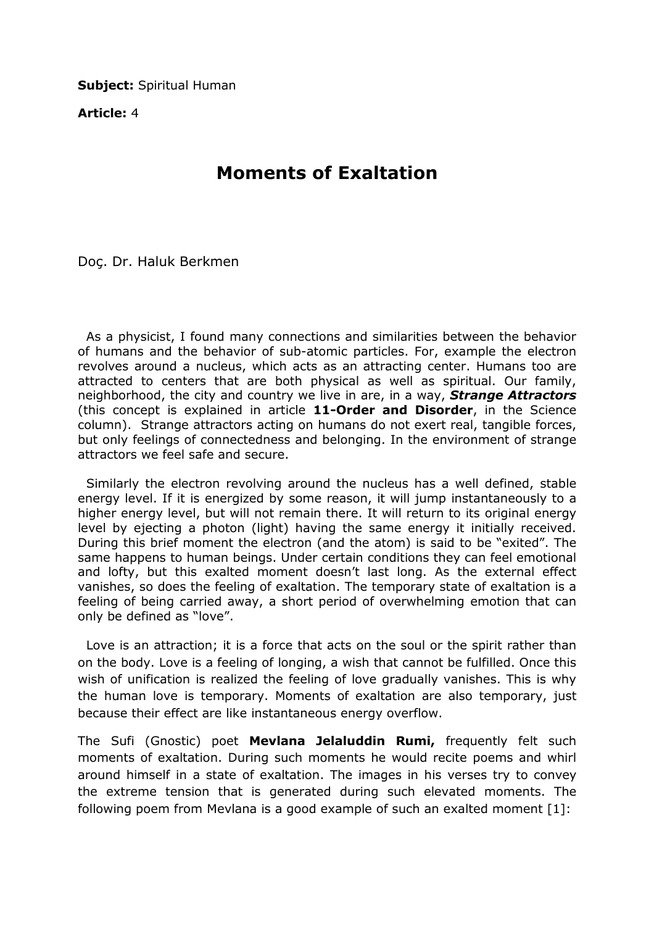**Subject: Spiritual Human** 

Article: 4

## Moments of Exaltation

Doç. Dr. Haluk Berkmen

 As a physicist, I found many connections and similarities between the behavior of humans and the behavior of sub-atomic particles. For, example the electron revolves around a nucleus, which acts as an attracting center. Humans too are attracted to centers that are both physical as well as spiritual. Our family, neighborhood, the city and country we live in are, in a way, **Strange Attractors** (this concept is explained in article 11-Order and Disorder, in the Science column). Strange attractors acting on humans do not exert real, tangible forces, but only feelings of connectedness and belonging. In the environment of strange attractors we feel safe and secure.

 Similarly the electron revolving around the nucleus has a well defined, stable energy level. If it is energized by some reason, it will jump instantaneously to a higher energy level, but will not remain there. It will return to its original energy level by ejecting a photon (light) having the same energy it initially received. During this brief moment the electron (and the atom) is said to be "exited". The same happens to human beings. Under certain conditions they can feel emotional and lofty, but this exalted moment doesn't last long. As the external effect vanishes, so does the feeling of exaltation. The temporary state of exaltation is a feeling of being carried away, a short period of overwhelming emotion that can only be defined as "love".

 Love is an attraction; it is a force that acts on the soul or the spirit rather than on the body. Love is a feeling of longing, a wish that cannot be fulfilled. Once this wish of unification is realized the feeling of love gradually vanishes. This is why the human love is temporary. Moments of exaltation are also temporary, just because their effect are like instantaneous energy overflow.

The Sufi (Gnostic) poet Mevlana Jelaluddin Rumi, frequently felt such moments of exaltation. During such moments he would recite poems and whirl around himself in a state of exaltation. The images in his verses try to convey the extreme tension that is generated during such elevated moments. The following poem from Mevlana is a good example of such an exalted moment [1]: